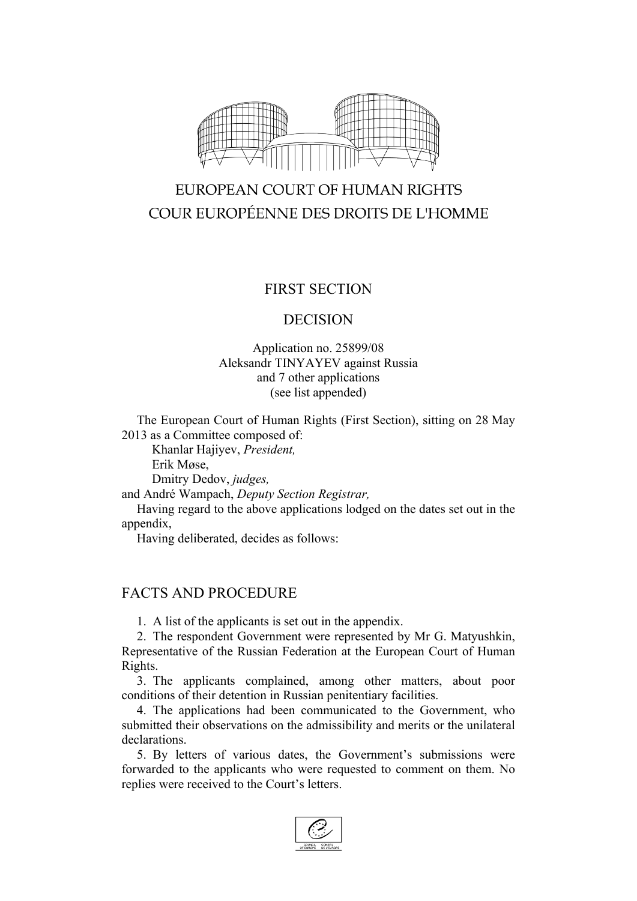

# EUROPEAN COURT OF HUMAN RIGHTS COUR EUROPÉENNE DES DROITS DE L'HOMME

## FIRST SECTION

#### DECISION

#### Application no. 25899/08 Aleksandr TINYAYEV against Russia and 7 other applications (see list appended)

The European Court of Human Rights (First Section), sitting on 28 May 2013 as a Committee composed of:

Khanlar Hajiyev, *President,* Erik Møse,

Dmitry Dedov, *judges,*

and André Wampach, *Deputy Section Registrar,*

Having regard to the above applications lodged on the dates set out in the appendix,

Having deliberated, decides as follows:

## FACTS AND PROCEDURE

1. A list of the applicants is set out in the appendix.

2. The respondent Government were represented by Mr G. Matyushkin, Representative of the Russian Federation at the European Court of Human Rights.

3. The applicants complained, among other matters, about poor conditions of their detention in Russian penitentiary facilities.

4. The applications had been communicated to the Government, who submitted their observations on the admissibility and merits or the unilateral declarations.

5. By letters of various dates, the Government's submissions were forwarded to the applicants who were requested to comment on them. No replies were received to the Court's letters.

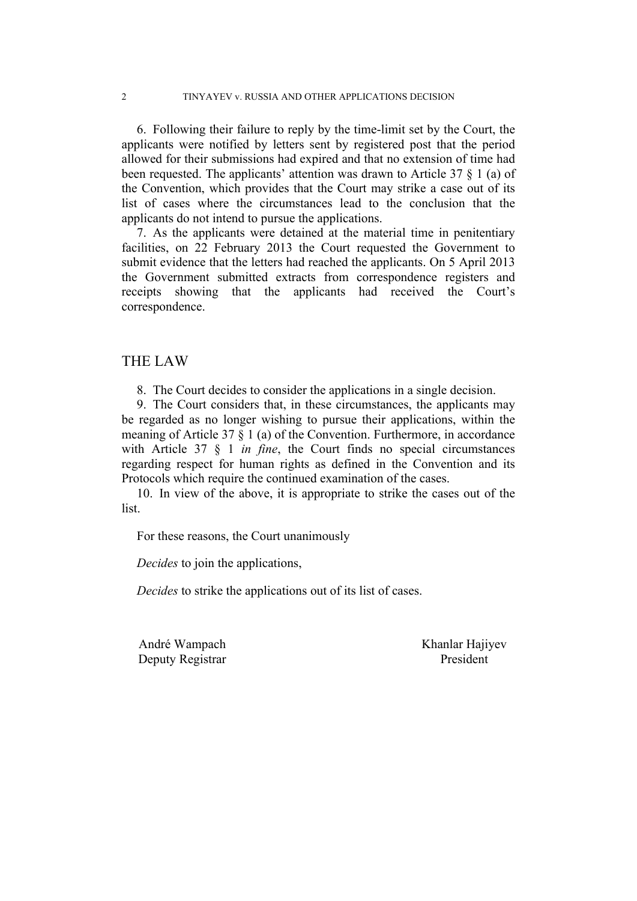6. Following their failure to reply by the time-limit set by the Court, the applicants were notified by letters sent by registered post that the period allowed for their submissions had expired and that no extension of time had been requested. The applicants' attention was drawn to Article 37 § 1 (a) of the Convention, which provides that the Court may strike a case out of its list of cases where the circumstances lead to the conclusion that the applicants do not intend to pursue the applications.

7. As the applicants were detained at the material time in penitentiary facilities, on 22 February 2013 the Court requested the Government to submit evidence that the letters had reached the applicants. On 5 April 2013 the Government submitted extracts from correspondence registers and receipts showing that the applicants had received the Court's correspondence.

#### THE LAW

8. The Court decides to consider the applications in a single decision.

9. The Court considers that, in these circumstances, the applicants may be regarded as no longer wishing to pursue their applications, within the meaning of Article 37 § 1 (a) of the Convention. Furthermore, in accordance with Article 37 § 1 *in fine*, the Court finds no special circumstances regarding respect for human rights as defined in the Convention and its Protocols which require the continued examination of the cases.

10. In view of the above, it is appropriate to strike the cases out of the list.

For these reasons, the Court unanimously

*Decides* to join the applications,

*Decides* to strike the applications out of its list of cases.

Deputy Registrar President

André Wampach Khanlar Hajiyev